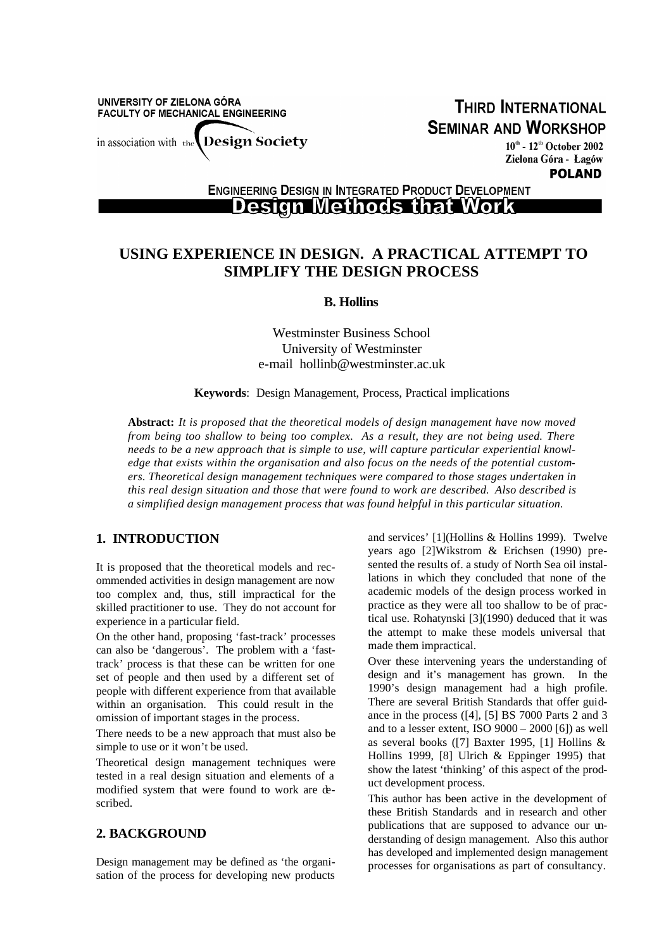UNIVERSITY OF ZIELONA GÓRA **FACULTY OF MECHANICAL ENGINEERING** in association with the Design Society

**THIRD INTERNATIONAL SEMINAR AND WORKSHOP** 

> $10^{\text{th}}$  -  $12^{\text{th}}$  October 2002 Zielona Góra - Lagów **POLAND**

**ENGINEERING DESIGN IN INTEGRATED PRODUCT DEVELOPMENT** 

# **Design Methods that Work**

# **USING EXPERIENCE IN DESIGN. A PRACTICAL ATTEMPT TO SIMPLIFY THE DESIGN PROCESS**

**B. Hollins**

Westminster Business School University of Westminster e-mail hollinb@westminster.ac.uk

**Keywords**: Design Management, Process, Practical implications

**Abstract:** *It is proposed that the theoretical models of design management have now moved from being too shallow to being too complex. As a result, they are not being used. There needs to be a new approach that is simple to use, will capture particular experiential knowledge that exists within the organisation and also focus on the needs of the potential customers. Theoretical design management techniques were compared to those stages undertaken in this real design situation and those that were found to work are described. Also described is a simplified design management process that was found helpful in this particular situation.*

# **1. INTRODUCTION**

It is proposed that the theoretical models and recommended activities in design management are now too complex and, thus, still impractical for the skilled practitioner to use. They do not account for experience in a particular field.

On the other hand, proposing 'fast-track' processes can also be 'dangerous'. The problem with a 'fasttrack' process is that these can be written for one set of people and then used by a different set of people with different experience from that available within an organisation. This could result in the omission of important stages in the process.

There needs to be a new approach that must also be simple to use or it won't be used.

Theoretical design management techniques were tested in a real design situation and elements of a modified system that were found to work are described.

#### **2. BACKGROUND**

Design management may be defined as 'the organisation of the process for developing new products

and services' [1](Hollins & Hollins 1999). Twelve years ago [2]Wikstrom & Erichsen (1990) presented the results of. a study of North Sea oil installations in which they concluded that none of the academic models of the design process worked in practice as they were all too shallow to be of practical use. Rohatynski [3](1990) deduced that it was the attempt to make these models universal that made them impractical.

Over these intervening years the understanding of design and it's management has grown. In the 1990's design management had a high profile. There are several British Standards that offer guidance in the process ([4], [5] BS 7000 Parts 2 and 3 and to a lesser extent, ISO 9000 – 2000 [6]) as well as several books ([7] Baxter 1995, [1] Hollins & Hollins 1999, [8] Ulrich & Eppinger 1995) that show the latest 'thinking' of this aspect of the product development process.

This author has been active in the development of these British Standards and in research and other publications that are supposed to advance our understanding of design management. Also this author has developed and implemented design management processes for organisations as part of consultancy.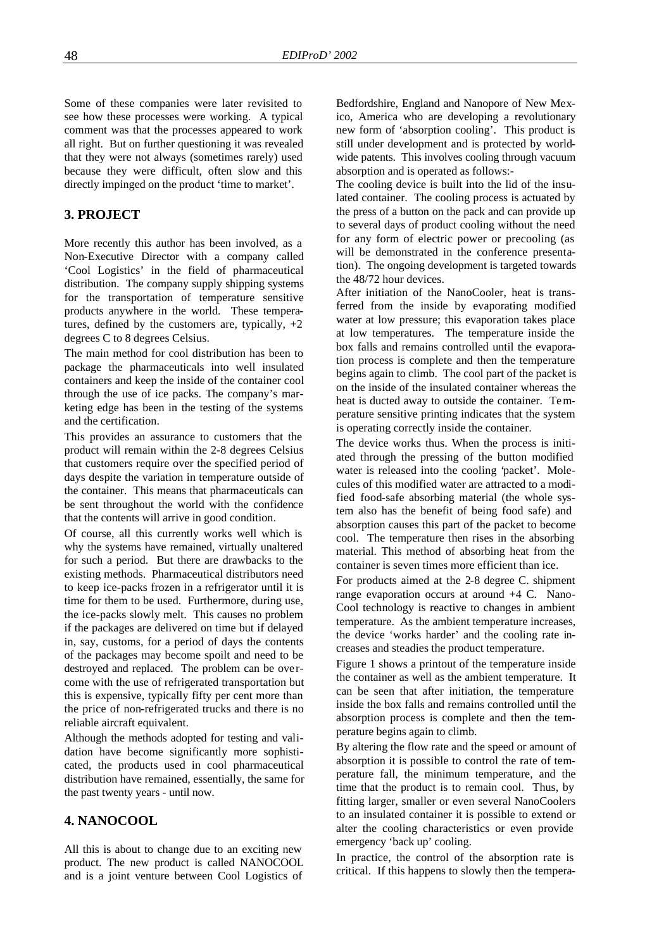Some of these companies were later revisited to see how these processes were working. A typical comment was that the processes appeared to work all right. But on further questioning it was revealed that they were not always (sometimes rarely) used because they were difficult, often slow and this directly impinged on the product 'time to market'.

## **3. PROJECT**

More recently this author has been involved, as a Non-Executive Director with a company called 'Cool Logistics' in the field of pharmaceutical distribution. The company supply shipping systems for the transportation of temperature sensitive products anywhere in the world. These temperatures, defined by the customers are, typically,  $+2$ degrees C to 8 degrees Celsius.

The main method for cool distribution has been to package the pharmaceuticals into well insulated containers and keep the inside of the container cool through the use of ice packs. The company's marketing edge has been in the testing of the systems and the certification.

This provides an assurance to customers that the product will remain within the 2-8 degrees Celsius that customers require over the specified period of days despite the variation in temperature outside of the container. This means that pharmaceuticals can be sent throughout the world with the confidence that the contents will arrive in good condition.

Of course, all this currently works well which is why the systems have remained, virtually unaltered for such a period. But there are drawbacks to the existing methods. Pharmaceutical distributors need to keep ice-packs frozen in a refrigerator until it is time for them to be used. Furthermore, during use, the ice-packs slowly melt. This causes no problem if the packages are delivered on time but if delayed in, say, customs, for a period of days the contents of the packages may become spoilt and need to be destroyed and replaced. The problem can be overcome with the use of refrigerated transportation but this is expensive, typically fifty per cent more than the price of non-refrigerated trucks and there is no reliable aircraft equivalent.

Although the methods adopted for testing and validation have become significantly more sophisticated, the products used in cool pharmaceutical distribution have remained, essentially, the same for the past twenty years - until now.

## **4. NANOCOOL**

All this is about to change due to an exciting new product. The new product is called NANOCOOL and is a joint venture between Cool Logistics of Bedfordshire, England and Nanopore of New Mexico, America who are developing a revolutionary new form of 'absorption cooling'. This product is still under development and is protected by worldwide patents. This involves cooling through vacuum absorption and is operated as follows:-

The cooling device is built into the lid of the insulated container. The cooling process is actuated by the press of a button on the pack and can provide up to several days of product cooling without the need for any form of electric power or precooling (as will be demonstrated in the conference presentation). The ongoing development is targeted towards the 48/72 hour devices.

After initiation of the NanoCooler, heat is transferred from the inside by evaporating modified water at low pressure; this evaporation takes place at low temperatures. The temperature inside the box falls and remains controlled until the evaporation process is complete and then the temperature begins again to climb. The cool part of the packet is on the inside of the insulated container whereas the heat is ducted away to outside the container. Temperature sensitive printing indicates that the system is operating correctly inside the container.

The device works thus. When the process is initiated through the pressing of the button modified water is released into the cooling 'packet'. Molecules of this modified water are attracted to a modified food-safe absorbing material (the whole system also has the benefit of being food safe) and absorption causes this part of the packet to become cool. The temperature then rises in the absorbing material. This method of absorbing heat from the container is seven times more efficient than ice.

For products aimed at the 2-8 degree C. shipment range evaporation occurs at around +4 C. Nano-Cool technology is reactive to changes in ambient temperature. As the ambient temperature increases, the device 'works harder' and the cooling rate increases and steadies the product temperature.

Figure 1 shows a printout of the temperature inside the container as well as the ambient temperature. It can be seen that after initiation, the temperature inside the box falls and remains controlled until the absorption process is complete and then the temperature begins again to climb.

By altering the flow rate and the speed or amount of absorption it is possible to control the rate of temperature fall, the minimum temperature, and the time that the product is to remain cool. Thus, by fitting larger, smaller or even several NanoCoolers to an insulated container it is possible to extend or alter the cooling characteristics or even provide emergency 'back up' cooling.

In practice, the control of the absorption rate is critical. If this happens to slowly then the tempera-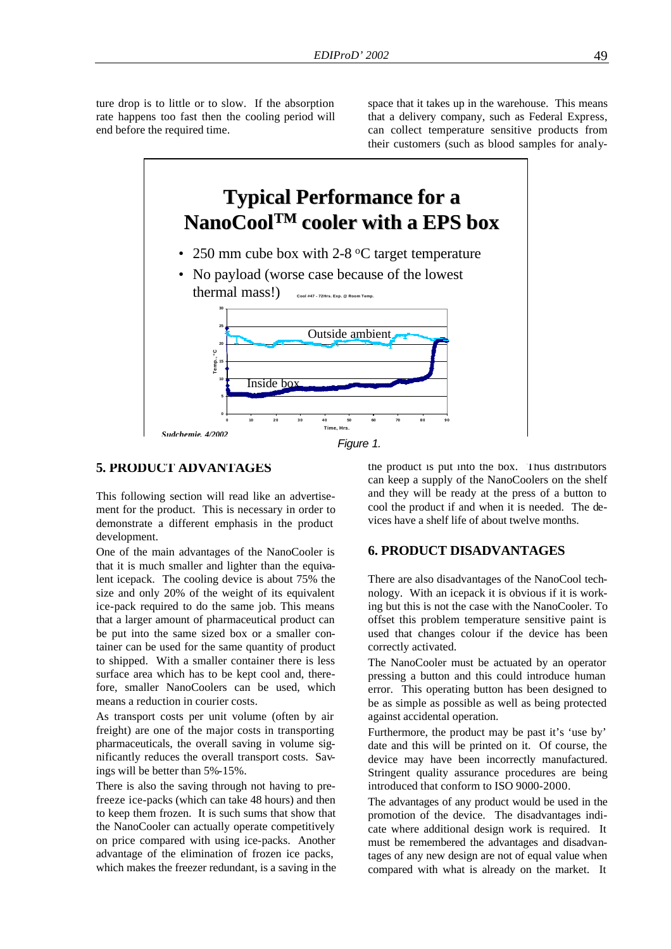ture drop is to little or to slow. If the absorption rate happens too fast then the cooling period will end before the required time.

space that it takes up in the warehouse. This means that a delivery company, such as Federal Express, can collect temperature sensitive products from their customers (such as blood samples for analy-



#### $s$ ) and the cooling process can be initiated just as  $\alpha$ *Figure 1.*

#### **5. PRODUCT ADVANTAGES**

This following section will read like an advertisement for the product. This is necessary in order to demonstrate a different emphasis in the product development.

One of the main advantages of the NanoCooler is that it is much smaller and lighter than the equivalent icepack. The cooling device is about 75% the size and only 20% of the weight of its equivalent ice-pack required to do the same job. This means that a larger amount of pharmaceutical product can be put into the same sized box or a smaller container can be used for the same quantity of product to shipped. With a smaller container there is less surface area which has to be kept cool and, therefore, smaller NanoCoolers can be used, which means a reduction in courier costs.

As transport costs per unit volume (often by air freight) are one of the major costs in transporting pharmaceuticals, the overall saving in volume significantly reduces the overall transport costs. Savings will be better than 5%-15%.

There is also the saving through not having to prefreeze ice-packs (which can take 48 hours) and then to keep them frozen. It is such sums that show that the NanoCooler can actually operate competitively on price compared with using ice-packs. Another advantage of the elimination of frozen ice packs, which makes the freezer redundant, is a saving in the

the product is put into the box. Thus distributors can keep a supply of the NanoCoolers on the shelf and they will be ready at the press of a button to cool the product if and when it is needed. The devices have a shelf life of about twelve months.

## **6. PRODUCT DISADVANTAGES**

There are also disadvantages of the NanoCool technology. With an icepack it is obvious if it is working but this is not the case with the NanoCooler. To offset this problem temperature sensitive paint is used that changes colour if the device has been correctly activated.

The NanoCooler must be actuated by an operator pressing a button and this could introduce human error. This operating button has been designed to be as simple as possible as well as being protected against accidental operation.

Furthermore, the product may be past it's 'use by' date and this will be printed on it. Of course, the device may have been incorrectly manufactured. Stringent quality assurance procedures are being introduced that conform to ISO 9000-2000.

The advantages of any product would be used in the promotion of the device. The disadvantages indicate where additional design work is required. It must be remembered the advantages and disadvantages of any new design are not of equal value when compared with what is already on the market. It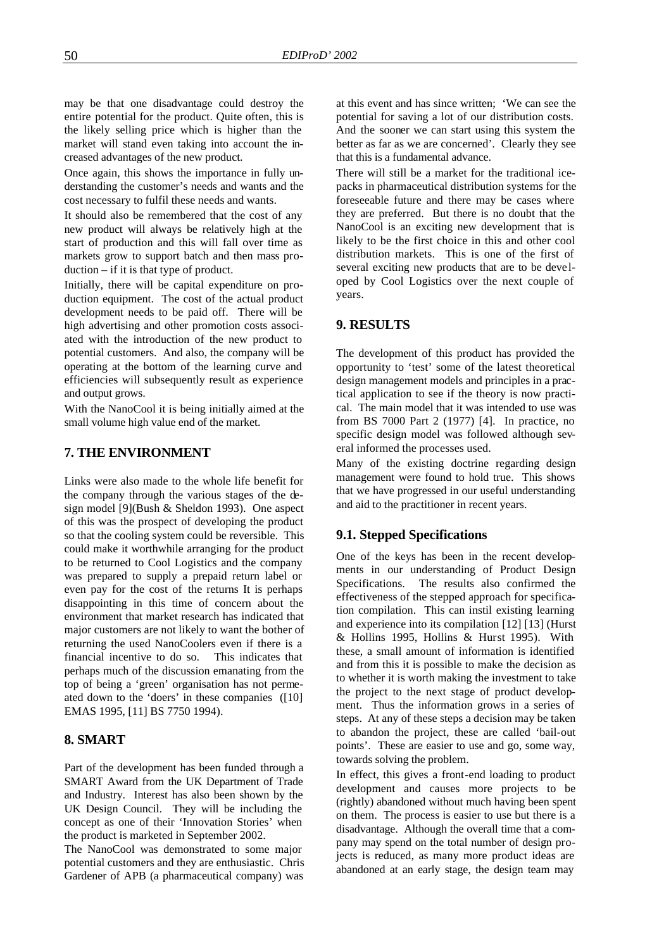may be that one disadvantage could destroy the entire potential for the product. Quite often, this is the likely selling price which is higher than the market will stand even taking into account the increased advantages of the new product.

Once again, this shows the importance in fully understanding the customer's needs and wants and the cost necessary to fulfil these needs and wants.

It should also be remembered that the cost of any new product will always be relatively high at the start of production and this will fall over time as markets grow to support batch and then mass production – if it is that type of product.

Initially, there will be capital expenditure on production equipment. The cost of the actual product development needs to be paid off. There will be high advertising and other promotion costs associated with the introduction of the new product to potential customers. And also, the company will be operating at the bottom of the learning curve and efficiencies will subsequently result as experience and output grows.

With the NanoCool it is being initially aimed at the small volume high value end of the market.

## **7. THE ENVIRONMENT**

Links were also made to the whole life benefit for the company through the various stages of the design model [9](Bush & Sheldon 1993). One aspect of this was the prospect of developing the product so that the cooling system could be reversible. This could make it worthwhile arranging for the product to be returned to Cool Logistics and the company was prepared to supply a prepaid return label or even pay for the cost of the returns It is perhaps disappointing in this time of concern about the environment that market research has indicated that major customers are not likely to want the bother of returning the used NanoCoolers even if there is a financial incentive to do so. This indicates that perhaps much of the discussion emanating from the top of being a 'green' organisation has not permeated down to the 'doers' in these companies ([10] EMAS 1995, [11] BS 7750 1994).

#### **8. SMART**

Part of the development has been funded through a SMART Award from the UK Department of Trade and Industry. Interest has also been shown by the UK Design Council. They will be including the concept as one of their 'Innovation Stories' when the product is marketed in September 2002.

The NanoCool was demonstrated to some major potential customers and they are enthusiastic. Chris Gardener of APB (a pharmaceutical company) was

at this event and has since written; 'We can see the potential for saving a lot of our distribution costs. And the sooner we can start using this system the better as far as we are concerned'. Clearly they see that this is a fundamental advance.

There will still be a market for the traditional icepacks in pharmaceutical distribution systems for the foreseeable future and there may be cases where they are preferred. But there is no doubt that the NanoCool is an exciting new development that is likely to be the first choice in this and other cool distribution markets. This is one of the first of several exciting new products that are to be developed by Cool Logistics over the next couple of years.

#### **9. RESULTS**

The development of this product has provided the opportunity to 'test' some of the latest theoretical design management models and principles in a practical application to see if the theory is now practical. The main model that it was intended to use was from BS 7000 Part 2 (1977) [4]. In practice, no specific design model was followed although several informed the processes used.

Many of the existing doctrine regarding design management were found to hold true. This shows that we have progressed in our useful understanding and aid to the practitioner in recent years.

#### **9.1. Stepped Specifications**

One of the keys has been in the recent developments in our understanding of Product Design Specifications. The results also confirmed the effectiveness of the stepped approach for specification compilation. This can instil existing learning and experience into its compilation [12] [13] (Hurst & Hollins 1995, Hollins & Hurst 1995). With these, a small amount of information is identified and from this it is possible to make the decision as to whether it is worth making the investment to take the project to the next stage of product development. Thus the information grows in a series of steps. At any of these steps a decision may be taken to abandon the project, these are called 'bail-out points'. These are easier to use and go, some way, towards solving the problem.

In effect, this gives a front-end loading to product development and causes more projects to be (rightly) abandoned without much having been spent on them. The process is easier to use but there is a disadvantage. Although the overall time that a company may spend on the total number of design projects is reduced, as many more product ideas are abandoned at an early stage, the design team may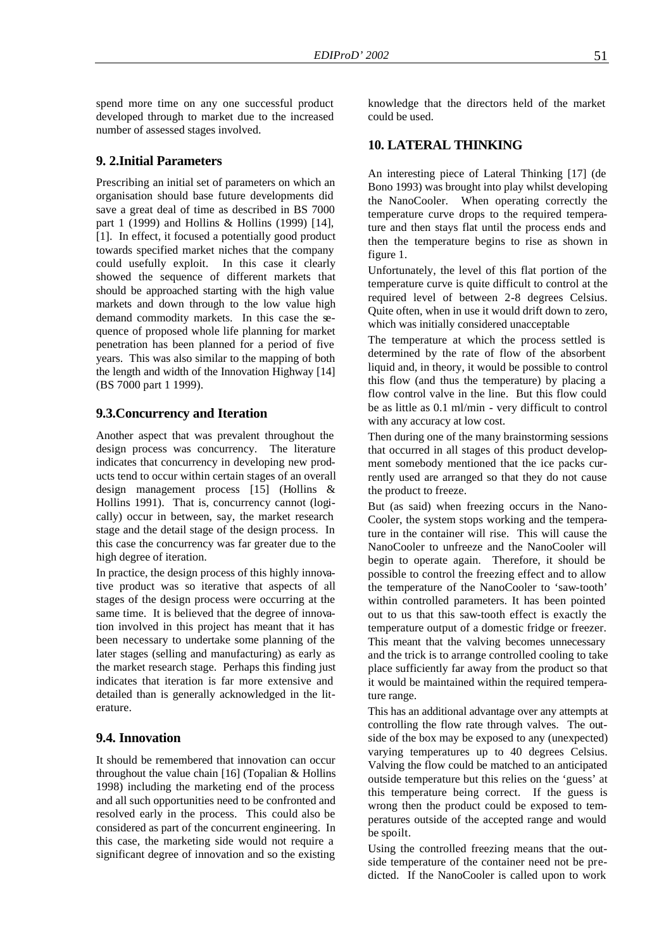spend more time on any one successful product developed through to market due to the increased number of assessed stages involved.

## **9. 2.Initial Parameters**

Prescribing an initial set of parameters on which an organisation should base future developments did save a great deal of time as described in BS 7000 part 1 (1999) and Hollins & Hollins (1999) [14], [1]. In effect, it focused a potentially good product towards specified market niches that the company could usefully exploit. In this case it clearly showed the sequence of different markets that should be approached starting with the high value markets and down through to the low value high demand commodity markets. In this case the sequence of proposed whole life planning for market penetration has been planned for a period of five years. This was also similar to the mapping of both the length and width of the Innovation Highway [14] (BS 7000 part 1 1999).

## **9.3.Concurrency and Iteration**

Another aspect that was prevalent throughout the design process was concurrency. The literature indicates that concurrency in developing new products tend to occur within certain stages of an overall design management process [15] (Hollins & Hollins 1991). That is, concurrency cannot (logically) occur in between, say, the market research stage and the detail stage of the design process. In this case the concurrency was far greater due to the high degree of iteration.

In practice, the design process of this highly innovative product was so iterative that aspects of all stages of the design process were occurring at the same time. It is believed that the degree of innovation involved in this project has meant that it has been necessary to undertake some planning of the later stages (selling and manufacturing) as early as the market research stage. Perhaps this finding just indicates that iteration is far more extensive and detailed than is generally acknowledged in the literature.

# **9.4. Innovation**

It should be remembered that innovation can occur throughout the value chain  $[16]$  (Topalian & Hollins 1998) including the marketing end of the process and all such opportunities need to be confronted and resolved early in the process. This could also be considered as part of the concurrent engineering. In this case, the marketing side would not require a significant degree of innovation and so the existing knowledge that the directors held of the market could be used.

## **10. LATERAL THINKING**

An interesting piece of Lateral Thinking [17] (de Bono 1993) was brought into play whilst developing the NanoCooler. When operating correctly the temperature curve drops to the required temperature and then stays flat until the process ends and then the temperature begins to rise as shown in figure 1.

Unfortunately, the level of this flat portion of the temperature curve is quite difficult to control at the required level of between 2-8 degrees Celsius. Quite often, when in use it would drift down to zero, which was initially considered unacceptable

The temperature at which the process settled is determined by the rate of flow of the absorbent liquid and, in theory, it would be possible to control this flow (and thus the temperature) by placing a flow control valve in the line. But this flow could be as little as 0.1 ml/min - very difficult to control with any accuracy at low cost.

Then during one of the many brainstorming sessions that occurred in all stages of this product development somebody mentioned that the ice packs currently used are arranged so that they do not cause the product to freeze.

But (as said) when freezing occurs in the Nano-Cooler, the system stops working and the temperature in the container will rise. This will cause the NanoCooler to unfreeze and the NanoCooler will begin to operate again. Therefore, it should be possible to control the freezing effect and to allow the temperature of the NanoCooler to 'saw-tooth' within controlled parameters. It has been pointed out to us that this saw-tooth effect is exactly the temperature output of a domestic fridge or freezer. This meant that the valving becomes unnecessary and the trick is to arrange controlled cooling to take place sufficiently far away from the product so that it would be maintained within the required temperature range.

This has an additional advantage over any attempts at controlling the flow rate through valves. The outside of the box may be exposed to any (unexpected) varying temperatures up to 40 degrees Celsius. Valving the flow could be matched to an anticipated outside temperature but this relies on the 'guess' at this temperature being correct. If the guess is wrong then the product could be exposed to temperatures outside of the accepted range and would be spoilt.

Using the controlled freezing means that the outside temperature of the container need not be predicted. If the NanoCooler is called upon to work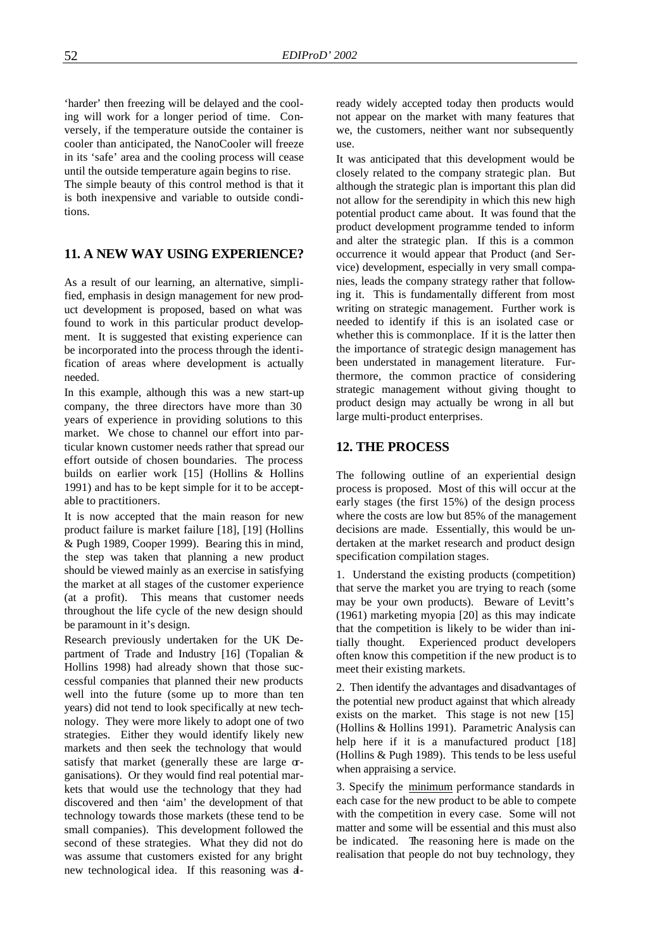'harder' then freezing will be delayed and the cooling will work for a longer period of time. Conversely, if the temperature outside the container is cooler than anticipated, the NanoCooler will freeze in its 'safe' area and the cooling process will cease until the outside temperature again begins to rise.

The simple beauty of this control method is that it is both inexpensive and variable to outside conditions.

## **11. A NEW WAY USING EXPERIENCE?**

As a result of our learning, an alternative, simplified, emphasis in design management for new product development is proposed, based on what was found to work in this particular product development. It is suggested that existing experience can be incorporated into the process through the identification of areas where development is actually needed.

In this example, although this was a new start-up company, the three directors have more than 30 years of experience in providing solutions to this market. We chose to channel our effort into particular known customer needs rather that spread our effort outside of chosen boundaries. The process builds on earlier work [15] (Hollins & Hollins 1991) and has to be kept simple for it to be acceptable to practitioners.

It is now accepted that the main reason for new product failure is market failure [18], [19] (Hollins & Pugh 1989, Cooper 1999). Bearing this in mind, the step was taken that planning a new product should be viewed mainly as an exercise in satisfying the market at all stages of the customer experience (at a profit). This means that customer needs throughout the life cycle of the new design should be paramount in it's design.

Research previously undertaken for the UK Department of Trade and Industry [16] (Topalian & Hollins 1998) had already shown that those successful companies that planned their new products well into the future (some up to more than ten years) did not tend to look specifically at new technology. They were more likely to adopt one of two strategies. Either they would identify likely new markets and then seek the technology that would satisfy that market (generally these are large  $\sigma$ ganisations). Or they would find real potential markets that would use the technology that they had discovered and then 'aim' the development of that technology towards those markets (these tend to be small companies). This development followed the second of these strategies. What they did not do was assume that customers existed for any bright new technological idea. If this reasoning was already widely accepted today then products would not appear on the market with many features that we, the customers, neither want nor subsequently use.

It was anticipated that this development would be closely related to the company strategic plan. But although the strategic plan is important this plan did not allow for the serendipity in which this new high potential product came about. It was found that the product development programme tended to inform and alter the strategic plan. If this is a common occurrence it would appear that Product (and Service) development, especially in very small companies, leads the company strategy rather that following it. This is fundamentally different from most writing on strategic management. Further work is needed to identify if this is an isolated case or whether this is commonplace. If it is the latter then the importance of strategic design management has been understated in management literature. Furthermore, the common practice of considering strategic management without giving thought to product design may actually be wrong in all but large multi-product enterprises.

#### **12. THE PROCESS**

The following outline of an experiential design process is proposed. Most of this will occur at the early stages (the first 15%) of the design process where the costs are low but 85% of the management decisions are made. Essentially, this would be undertaken at the market research and product design specification compilation stages.

1. Understand the existing products (competition) that serve the market you are trying to reach (some may be your own products). Beware of Levitt's (1961) marketing myopia [20] as this may indicate that the competition is likely to be wider than initially thought. Experienced product developers often know this competition if the new product is to meet their existing markets.

2. Then identify the advantages and disadvantages of the potential new product against that which already exists on the market. This stage is not new [15] (Hollins & Hollins 1991). Parametric Analysis can help here if it is a manufactured product [18] (Hollins & Pugh 1989). This tends to be less useful when appraising a service.

3. Specify the minimum performance standards in each case for the new product to be able to compete with the competition in every case. Some will not matter and some will be essential and this must also be indicated. The reasoning here is made on the realisation that people do not buy technology, they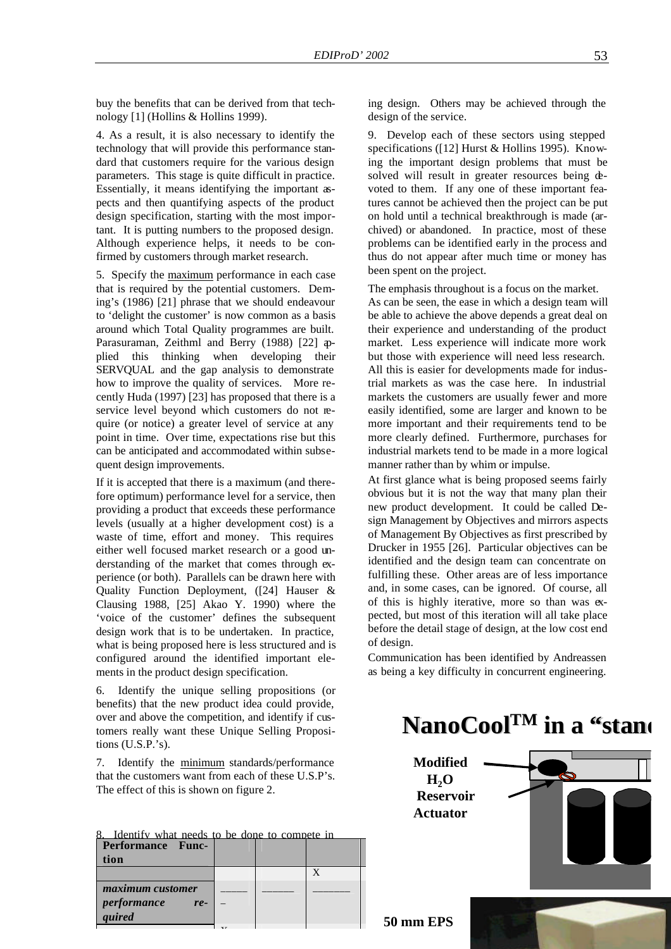buy the benefits that can be derived from that technology [1] (Hollins & Hollins 1999).

4. As a result, it is also necessary to identify the technology that will provide this performance standard that customers require for the various design parameters. This stage is quite difficult in practice. Essentially, it means identifying the important aspects and then quantifying aspects of the product design specification, starting with the most important. It is putting numbers to the proposed design. Although experience helps, it needs to be confirmed by customers through market research.

5. Specify the maximum performance in each case that is required by the potential customers. Deming's (1986) [21] phrase that we should endeavour to 'delight the customer' is now common as a basis around which Total Quality programmes are built. Parasuraman, Zeithml and Berry (1988) [22] applied this thinking when developing their SERVQUAL and the gap analysis to demonstrate how to improve the quality of services. More recently Huda (1997) [23] has proposed that there is a service level beyond which customers do not require (or notice) a greater level of service at any point in time. Over time, expectations rise but this can be anticipated and accommodated within subsequent design improvements.

If it is accepted that there is a maximum (and therefore optimum) performance level for a service, then providing a product that exceeds these performance levels (usually at a higher development cost) is a waste of time, effort and money. This requires either well focused market research or a good understanding of the market that comes through experience (or both). Parallels can be drawn here with Quality Function Deployment, ([24] Hauser & Clausing 1988, [25] Akao Y. 1990) where the 'voice of the customer' defines the subsequent design work that is to be undertaken. In practice, what is being proposed here is less structured and is configured around the identified important elements in the product design specification.

6. Identify the unique selling propositions (or benefits) that the new product idea could provide, over and above the competition, and identify if customers really want these Unique Selling Propositions (U.S.P.'s).

7. Identify the minimum standards/performance that the customers want from each of these U.S.P's. The effect of this is shown on figure 2.

| 8. Identify what needs to be done to compete in |  |  |  |
|-------------------------------------------------|--|--|--|
| <b>Performance Func-</b>                        |  |  |  |
| tion                                            |  |  |  |
|                                                 |  |  |  |
| maximum customer                                |  |  |  |
| performance<br>$re-$                            |  |  |  |

 $\ddot{\phantom{1}}$ 

*quired*

ing design. Others may be achieved through the design of the service.

9. Develop each of these sectors using stepped specifications ([12] Hurst & Hollins 1995). Knowing the important design problems that must be solved will result in greater resources being devoted to them. If any one of these important features cannot be achieved then the project can be put on hold until a technical breakthrough is made (archived) or abandoned. In practice, most of these problems can be identified early in the process and thus do not appear after much time or money has been spent on the project.

The emphasis throughout is a focus on the market.

As can be seen, the ease in which a design team will be able to achieve the above depends a great deal on their experience and understanding of the product market. Less experience will indicate more work but those with experience will need less research. All this is easier for developments made for industrial markets as was the case here. In industrial markets the customers are usually fewer and more easily identified, some are larger and known to be more important and their requirements tend to be more clearly defined. Furthermore, purchases for industrial markets tend to be made in a more logical manner rather than by whim or impulse.

At first glance what is being proposed seems fairly obvious but it is not the way that many plan their new product development. It could be called Design Management by Objectives and mirrors aspects of Management By Objectives as first prescribed by Drucker in 1955 [26]. Particular objectives can be identified and the design team can concentrate on fulfilling these. Other areas are of less importance and, in some cases, can be ignored. Of course, all of this is highly iterative, more so than was expected, but most of this iteration will all take place before the detail stage of design, at the low cost end of design.

Communication has been identified by Andreassen as being a key difficulty in concurrent engineering.

#### $\sim$   $\sim$  The project did not be project did not be project did not be project did not be project did not be project did not be project did not be project did not be project did not be project did not be project did not b **NanoCool<sup>TM</sup> in a "stand**  $\sim$  100000  $\sim$  0.0000  $\sim$  0.0000  $\sim$

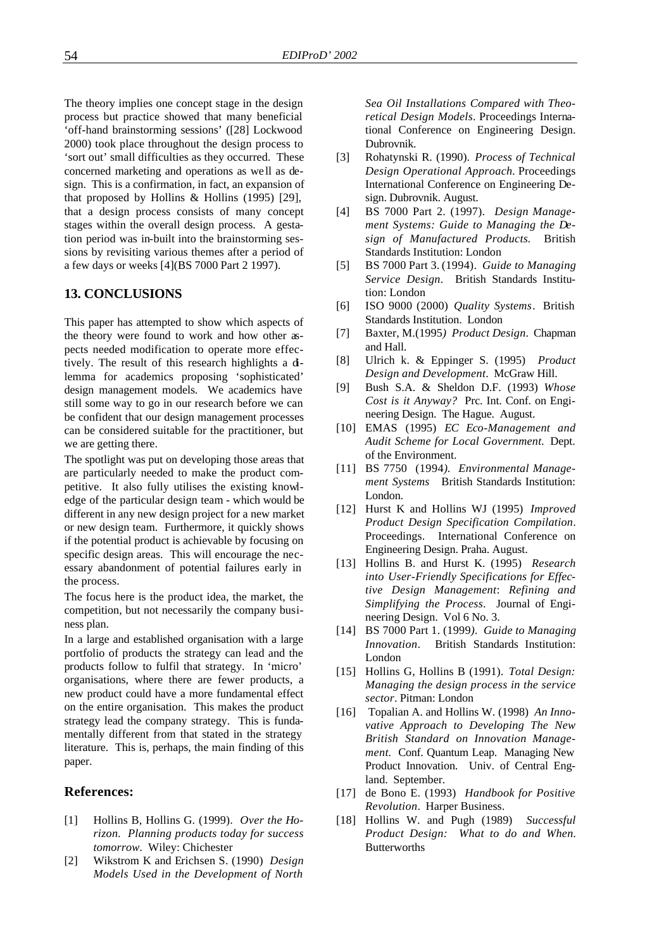The theory implies one concept stage in the design process but practice showed that many beneficial 'off-hand brainstorming sessions' ([28] Lockwood 2000) took place throughout the design process to 'sort out' small difficulties as they occurred. These concerned marketing and operations as we ll as design. This is a confirmation, in fact, an expansion of that proposed by Hollins & Hollins (1995) [29], that a design process consists of many concept stages within the overall design process. A gestation period was in-built into the brainstorming sessions by revisiting various themes after a period of a few days or weeks [4](BS 7000 Part 2 1997).

#### **13. CONCLUSIONS**

This paper has attempted to show which aspects of the theory were found to work and how other aspects needed modification to operate more effectively. The result of this research highlights a dilemma for academics proposing 'sophisticated' design management models. We academics have still some way to go in our research before we can be confident that our design management processes can be considered suitable for the practitioner, but we are getting there.

The spotlight was put on developing those areas that are particularly needed to make the product competitive. It also fully utilises the existing knowledge of the particular design team - which would be different in any new design project for a new market or new design team. Furthermore, it quickly shows if the potential product is achievable by focusing on specific design areas. This will encourage the necessary abandonment of potential failures early in the process.

The focus here is the product idea, the market, the competition, but not necessarily the company business plan.

In a large and established organisation with a large portfolio of products the strategy can lead and the products follow to fulfil that strategy. In 'micro' organisations, where there are fewer products, a new product could have a more fundamental effect on the entire organisation. This makes the product strategy lead the company strategy. This is fundamentally different from that stated in the strategy literature. This is, perhaps, the main finding of this paper.

#### **References:**

- [1] Hollins B, Hollins G. (1999). *Over the Horizon. Planning products today for success tomorrow.* Wiley: Chichester
- [2] Wikstrom K and Erichsen S. (1990) *Design Models Used in the Development of North*

*Sea Oil Installations Compared with Theoretical Design Models*. Proceedings International Conference on Engineering Design. Dubrovnik.

- [3] Rohatynski R. (1990). *Process of Technical Design Operational Approach.* Proceedings International Conference on Engineering Design. Dubrovnik. August.
- [4] BS 7000 Part 2. (1997). *Design Management Systems: Guide to Managing the Design of Manufactured Products.* British Standards Institution: London
- [5] BS 7000 Part 3. (1994). *Guide to Managing Service Design*. British Standards Institution: London
- [6] ISO 9000 (2000) *Quality Systems*. British Standards Institution. London
- [7] Baxter, M.(1995*) Product Design*. Chapman and Hall.
- [8] Ulrich k. & Eppinger S. (1995) *Product Design and Development*. McGraw Hill.
- [9] Bush S.A. & Sheldon D.F. (1993) *Whose Cost is it Anyway?* Prc. Int. Conf. on Engineering Design. The Hague. August.
- [10] EMAS (1995) *EC Eco-Management and Audit Scheme for Local Government.* Dept. of the Environment.
- [11] BS 7750 (1994*). Environmental Management Systems* British Standards Institution: London.
- [12] Hurst K and Hollins WJ (1995) *Improved Product Design Specification Compilation*. Proceedings. International Conference on Engineering Design. Praha. August.
- [13] Hollins B. and Hurst K. (1995) *Research into User-Friendly Specifications for Effective Design Management*: *Refining and Simplifying the Process*. Journal of Engineering Design. Vol 6 No. 3.
- [14] BS 7000 Part 1. (1999*). Guide to Managing Innovation*. British Standards Institution: London
- [15] Hollins G, Hollins B (1991). *Total Design: Managing the design process in the service sector*. Pitman: London
- [16] Topalian A. and Hollins W. (1998) *An Innovative Approach to Developing The New British Standard on Innovation Management.* Conf. Quantum Leap. Managing New Product Innovation. Univ. of Central England. September.
- [17] de Bono E. (1993) *Handbook for Positive Revolution*. Harper Business.
- [18] Hollins W. and Pugh (1989) *Successful Product Design: What to do and When.* **Butterworths**